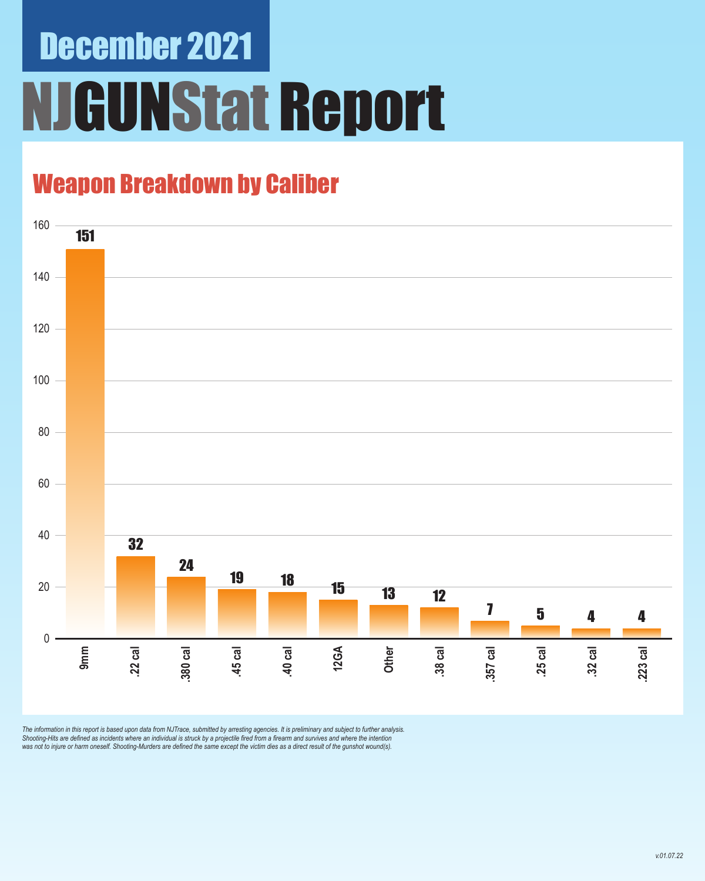# December 2021 NJGUNStat Report

### Weapon Breakdown by Caliber



The information in this report is based upon data from NJTrace, submitted by arresting agencies. It is preliminary and subject to further analysis.<br>Shooting-Hits are defined as incidents where an individual is struck by a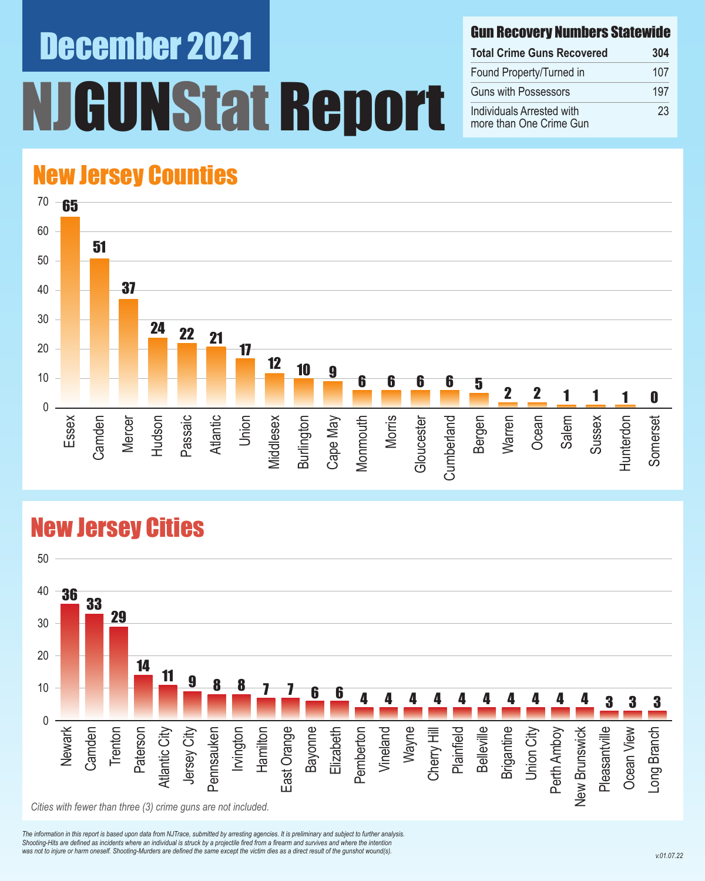# December 2021 **INStat Report**

#### Gun Recovery Numbers Statewide

| <b>Total Crime Guns Recovered</b>                    | 304 |
|------------------------------------------------------|-----|
| Found Property/Turned in                             | 107 |
| <b>Guns with Possessors</b>                          | 197 |
| Individuals Arrested with<br>more than One Crime Gun | 23  |

### New Jersey Counties



#### New Jersey Cities



*The information in this report is based upon data from NJTrace, submitted by arresting agencies. It is preliminary and subject to further analysis. Shooting-Hits are defined as incidents where an individual is struck by a projectile fired from a firearm and survives and where the intention*  was not to injure or harm oneself. Shooting-Murders are defined the same except the victim dies as a direct result of the gunshot wound(s).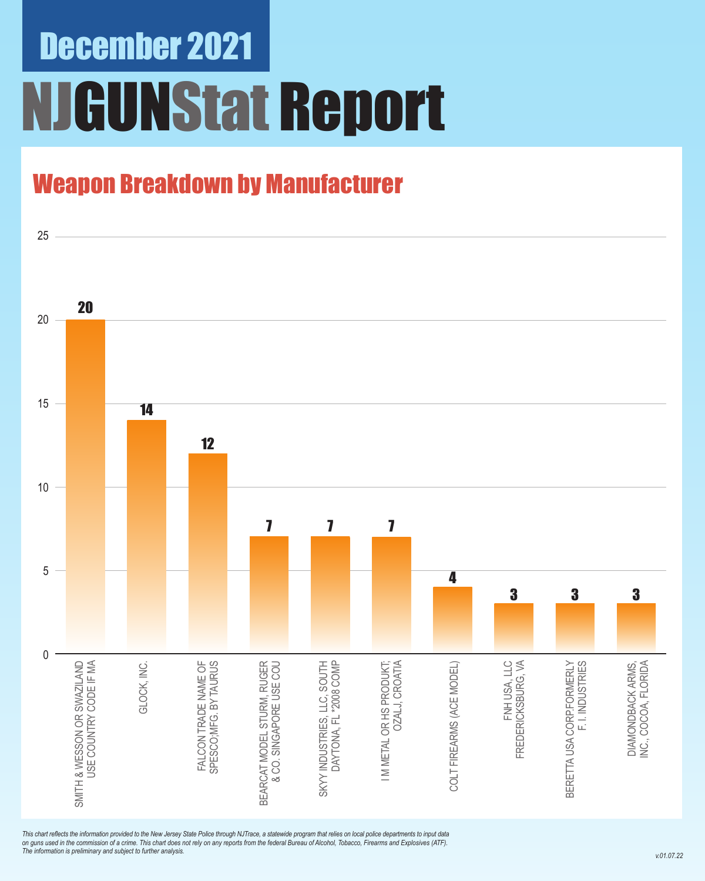## December 2021 NJGUNStat Report

### Weapon Breakdown by Manufacturer



*This chart reflects the information provided to the New Jersey State Police through NJTrace, a statewide program that relies on local police departments to input data on guns used in the commission of a crime. This chart does not rely on any reports from the federal Bureau of Alcohol, Tobacco, Firearms and Explosives (ATF). The information is preliminary and subject to further analysis.*